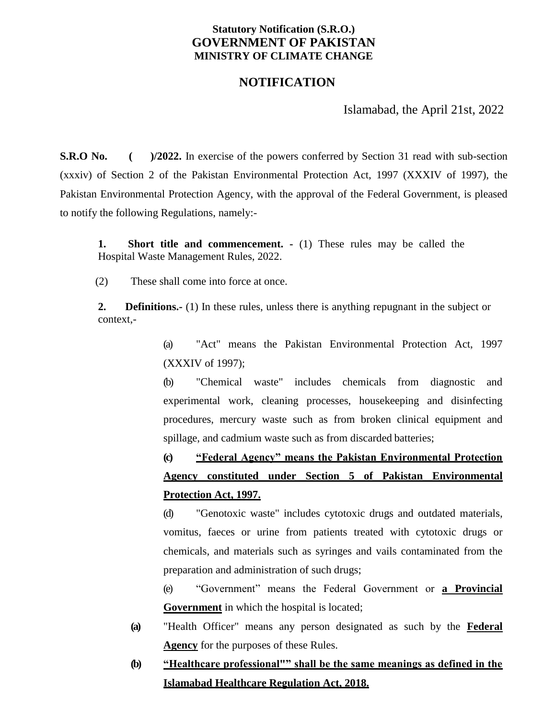### **Statutory Notification (S.R.O.) GOVERNMENT OF PAKISTAN MINISTRY OF CLIMATE CHANGE**

### **NOTIFICATION**

Islamabad, the April 21st, 2022

**S.R.O No.** ( )/2022. In exercise of the powers conferred by Section 31 read with sub-section (xxxiv) of Section 2 of the Pakistan Environmental Protection Act, 1997 (XXXIV of 1997), the Pakistan Environmental Protection Agency, with the approval of the Federal Government, is pleased to notify the following Regulations, namely:-

**1. Short title and commencement. -** (1) These rules may be called the Hospital Waste Management Rules, 2022.

(2) These shall come into force at once.

**2. Definitions.-** (1) In these rules, unless there is anything repugnant in the subject or context,-

> (a) "Act" means the Pakistan Environmental Protection Act, 1997 (XXXIV of 1997);

> (b) "Chemical waste" includes chemicals from diagnostic and experimental work, cleaning processes, housekeeping and disinfecting procedures, mercury waste such as from broken clinical equipment and spillage, and cadmium waste such as from discarded batteries;

> **(c) "Federal Agency" means the Pakistan Environmental Protection Agency constituted under Section 5 of Pakistan Environmental Protection Act, 1997.**

> (d) "Genotoxic waste" includes cytotoxic drugs and outdated materials, vomitus, faeces or urine from patients treated with cytotoxic drugs or chemicals, and materials such as syringes and vails contaminated from the preparation and administration of such drugs;

> (e) "Government" means the Federal Government or **a Provincial Government** in which the hospital is located;

- **(a)** "Health Officer" means any person designated as such by the **Federal Agency** for the purposes of these Rules.
- **(b) "Healthcare professional"" shall be the same meanings as defined in the Islamabad Healthcare Regulation Act, 2018.**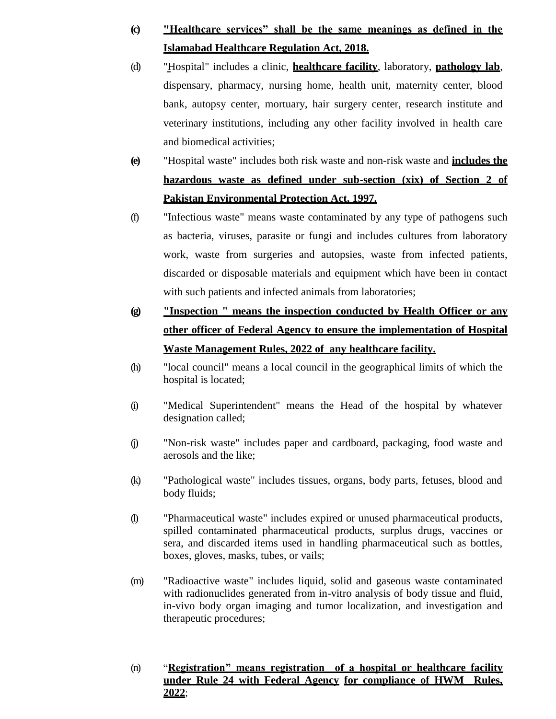# **(c) "Healthcare services" shall be the same meanings as defined in the Islamabad Healthcare Regulation Act, 2018.**

- (d) "Hospital" includes a clinic, **healthcare facility**, laboratory, **pathology lab**, dispensary, pharmacy, nursing home, health unit, maternity center, blood bank, autopsy center, mortuary, hair surgery center, research institute and veterinary institutions, including any other facility involved in health care and biomedical activities;
- **(e)** "Hospital waste" includes both risk waste and non-risk waste and **includes the hazardous waste as defined under sub-section (xix) of Section 2 of Pakistan Environmental Protection Act, 1997.**
- (f) "Infectious waste" means waste contaminated by any type of pathogens such as bacteria, viruses, parasite or fungi and includes cultures from laboratory work, waste from surgeries and autopsies, waste from infected patients, discarded or disposable materials and equipment which have been in contact with such patients and infected animals from laboratories;
- **(g) "Inspection " means the inspection conducted by Health Officer or any other officer of Federal Agency to ensure the implementation of Hospital Waste Management Rules, 2022 of any healthcare facility.**
- (h) "local council" means a local council in the geographical limits of which the hospital is located;
- (i) "Medical Superintendent" means the Head of the hospital by whatever designation called;
- (j) "Non-risk waste" includes paper and cardboard, packaging, food waste and aerosols and the like;
- (k) "Pathological waste" includes tissues, organs, body parts, fetuses, blood and body fluids;
- (l) "Pharmaceutical waste" includes expired or unused pharmaceutical products, spilled contaminated pharmaceutical products, surplus drugs, vaccines or sera, and discarded items used in handling pharmaceutical such as bottles, boxes, gloves, masks, tubes, or vails;
- (m) "Radioactive waste" includes liquid, solid and gaseous waste contaminated with radionuclides generated from in-vitro analysis of body tissue and fluid, in-vivo body organ imaging and tumor localization, and investigation and therapeutic procedures;
- (n) "**Registration" means registration of a hospital or healthcare facility under Rule 24 with Federal Agency for compliance of HWM Rules, 2022**;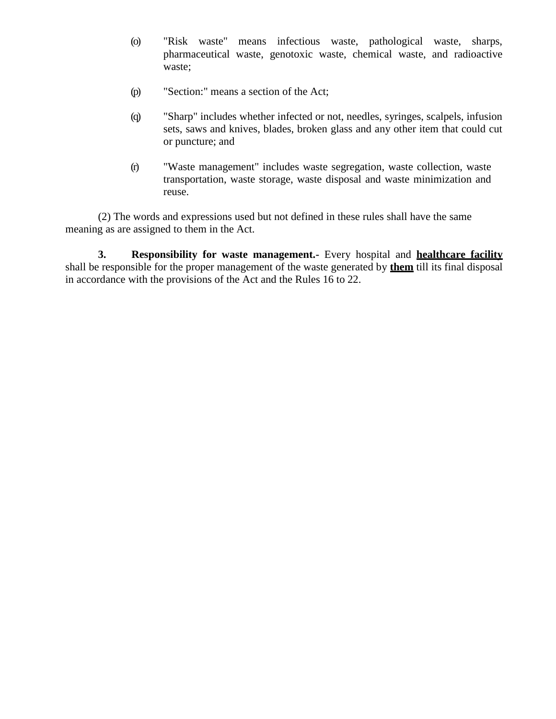- (o) "Risk waste" means infectious waste, pathological waste, sharps, pharmaceutical waste, genotoxic waste, chemical waste, and radioactive waste;
- (p) "Section:" means a section of the Act;
- (q) "Sharp" includes whether infected or not, needles, syringes, scalpels, infusion sets, saws and knives, blades, broken glass and any other item that could cut or puncture; and
- (r) "Waste management" includes waste segregation, waste collection, waste transportation, waste storage, waste disposal and waste minimization and reuse.

(2) The words and expressions used but not defined in these rules shall have the same meaning as are assigned to them in the Act.

**3. Responsibility for waste management.-** Every hospital and **healthcare facility** shall be responsible for the proper management of the waste generated by **them** till its final disposal in accordance with the provisions of the Act and the Rules 16 to 22.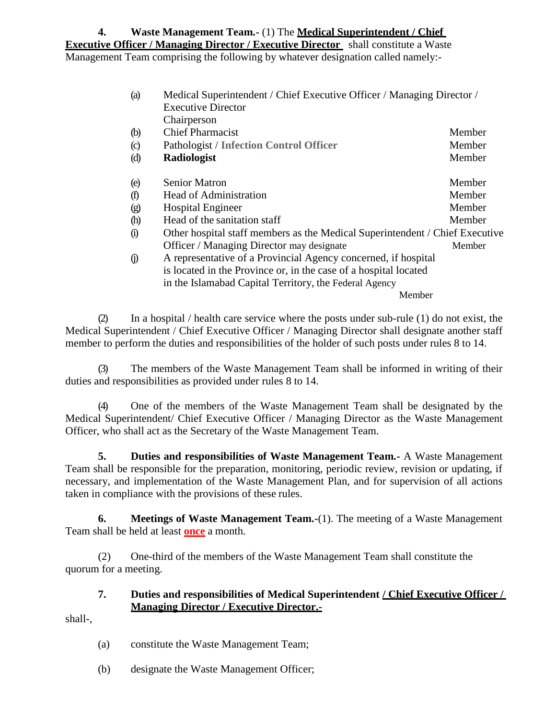### **4. Waste Management Team.-** (1) The **Medical Superintendent / Chief Executive Officer / Managing Director / Executive Director** shall constitute a Waste Management Team comprising the following by whatever designation called namely:-

| (a)           | Medical Superintendent / Chief Executive Officer / Managing Director /<br><b>Executive Director</b><br>Chairperson |        |  |
|---------------|--------------------------------------------------------------------------------------------------------------------|--------|--|
| (b)           | <b>Chief Pharmacist</b>                                                                                            | Member |  |
| $\circled{c}$ | <b>Pathologist / Infection Control Officer</b>                                                                     | Member |  |
| $\phi$        | Radiologist                                                                                                        | Member |  |
| (e)           | <b>Senior Matron</b>                                                                                               | Member |  |
| (f)           | Head of Administration                                                                                             | Member |  |
| $\circledg$   | <b>Hospital Engineer</b>                                                                                           | Member |  |
| (h)           | Head of the sanitation staff                                                                                       | Member |  |
| $\Omega$      | Other hospital staff members as the Medical Superintendent / Chief Executive                                       |        |  |
|               | Officer / Managing Director may designate                                                                          | Member |  |
| $\circ$       | A representative of a Provincial Agency concerned, if hospital                                                     |        |  |
|               | is located in the Province or, in the case of a hospital located                                                   |        |  |
|               | in the Islamabad Capital Territory, the Federal Agency                                                             |        |  |
|               | Member                                                                                                             |        |  |

(2) In a hospital / health care service where the posts under sub-rule (1) do not exist, the Medical Superintendent / Chief Executive Officer / Managing Director shall designate another staff member to perform the duties and responsibilities of the holder of such posts under rules 8 to 14.

(3) The members of the Waste Management Team shall be informed in writing of their duties and responsibilities as provided under rules 8 to 14.

(4) One of the members of the Waste Management Team shall be designated by the Medical Superintendent/ Chief Executive Officer / Managing Director as the Waste Management Officer, who shall act as the Secretary of the Waste Management Team.

**5. Duties and responsibilities of Waste Management Team.-** A Waste Management Team shall be responsible for the preparation, monitoring, periodic review, revision or updating, if necessary, and implementation of the Waste Management Plan, and for supervision of all actions taken in compliance with the provisions of these rules.

**6. Meetings of Waste Management Team.-**(1). The meeting of a Waste Management Team shall be held at least **once** a month.

(2) One-third of the members of the Waste Management Team shall constitute the quorum for a meeting.

### **7. Duties and responsibilities of Medical Superintendent / Chief Executive Officer / Managing Director / Executive Director.-**

shall-,

- (a) constitute the Waste Management Team;
- (b) designate the Waste Management Officer;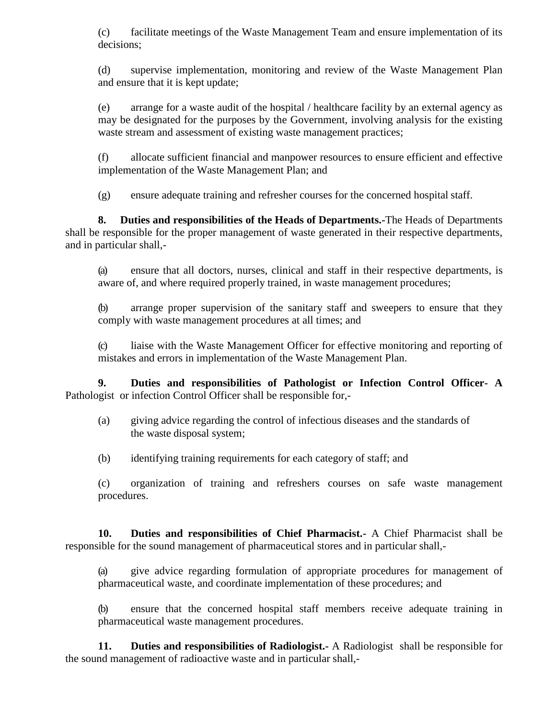(c) facilitate meetings of the Waste Management Team and ensure implementation of its decisions;

(d) supervise implementation, monitoring and review of the Waste Management Plan and ensure that it is kept update;

(e) arrange for a waste audit of the hospital / healthcare facility by an external agency as may be designated for the purposes by the Government, involving analysis for the existing waste stream and assessment of existing waste management practices;

(f) allocate sufficient financial and manpower resources to ensure efficient and effective implementation of the Waste Management Plan; and

(g) ensure adequate training and refresher courses for the concerned hospital staff.

**8. Duties and responsibilities of the Heads of Departments.-**The Heads of Departments shall be responsible for the proper management of waste generated in their respective departments, and in particular shall,-

(a) ensure that all doctors, nurses, clinical and staff in their respective departments, is aware of, and where required properly trained, in waste management procedures;

(b) arrange proper supervision of the sanitary staff and sweepers to ensure that they comply with waste management procedures at all times; and

(c) liaise with the Waste Management Officer for effective monitoring and reporting of mistakes and errors in implementation of the Waste Management Plan.

**9. Duties and responsibilities of Pathologist or Infection Control Officer- A**  Pathologist or infection Control Officer shall be responsible for,-

- (a) giving advice regarding the control of infectious diseases and the standards of the waste disposal system;
- (b) identifying training requirements for each category of staff; and

(c) organization of training and refreshers courses on safe waste management procedures.

**10. Duties and responsibilities of Chief Pharmacist.-** A Chief Pharmacist shall be responsible for the sound management of pharmaceutical stores and in particular shall,-

(a) give advice regarding formulation of appropriate procedures for management of pharmaceutical waste, and coordinate implementation of these procedures; and

(b) ensure that the concerned hospital staff members receive adequate training in pharmaceutical waste management procedures.

**11. Duties and responsibilities of Radiologist.-** A Radiologist shall be responsible for the sound management of radioactive waste and in particular shall,-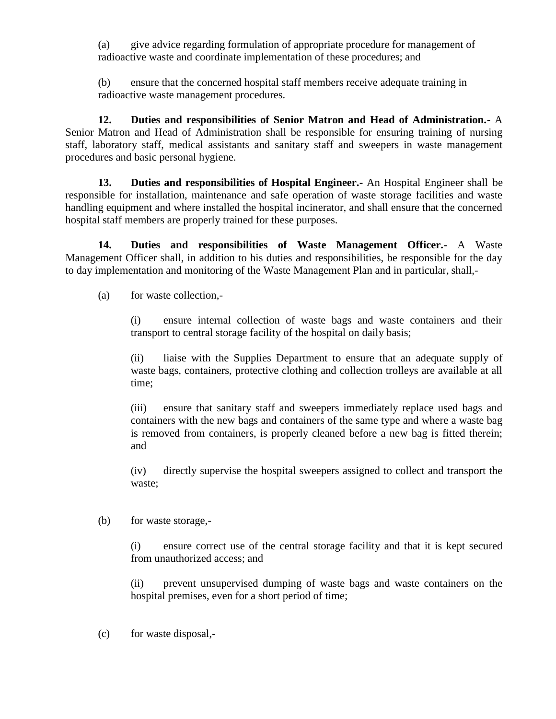(a) give advice regarding formulation of appropriate procedure for management of radioactive waste and coordinate implementation of these procedures; and

(b) ensure that the concerned hospital staff members receive adequate training in radioactive waste management procedures.

**12. Duties and responsibilities of Senior Matron and Head of Administration.-** A Senior Matron and Head of Administration shall be responsible for ensuring training of nursing staff, laboratory staff, medical assistants and sanitary staff and sweepers in waste management procedures and basic personal hygiene.

**13. Duties and responsibilities of Hospital Engineer.-** An Hospital Engineer shall be responsible for installation, maintenance and safe operation of waste storage facilities and waste handling equipment and where installed the hospital incinerator, and shall ensure that the concerned hospital staff members are properly trained for these purposes.

**14. Duties and responsibilities of Waste Management Officer.-** A Waste Management Officer shall, in addition to his duties and responsibilities, be responsible for the day to day implementation and monitoring of the Waste Management Plan and in particular, shall,-

(a) for waste collection,-

(i) ensure internal collection of waste bags and waste containers and their transport to central storage facility of the hospital on daily basis;

(ii) liaise with the Supplies Department to ensure that an adequate supply of waste bags, containers, protective clothing and collection trolleys are available at all time;

(iii) ensure that sanitary staff and sweepers immediately replace used bags and containers with the new bags and containers of the same type and where a waste bag is removed from containers, is properly cleaned before a new bag is fitted therein; and

(iv) directly supervise the hospital sweepers assigned to collect and transport the waste;

(b) for waste storage,-

(i) ensure correct use of the central storage facility and that it is kept secured from unauthorized access; and

(ii) prevent unsupervised dumping of waste bags and waste containers on the hospital premises, even for a short period of time;

(c) for waste disposal,-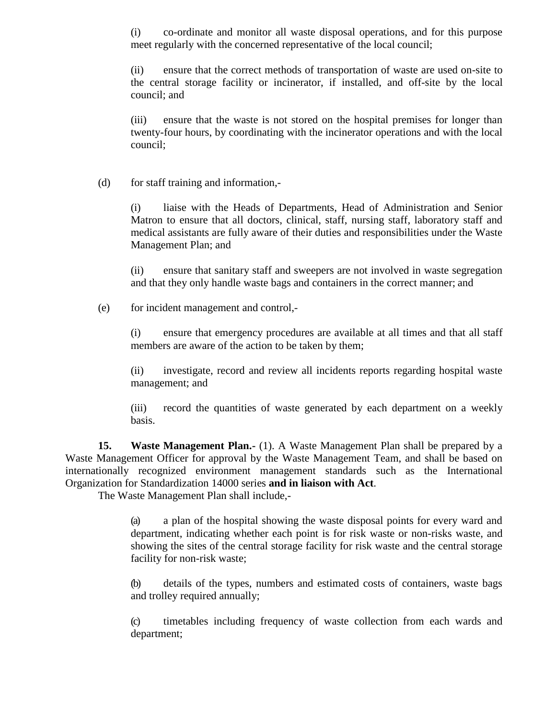(i) co-ordinate and monitor all waste disposal operations, and for this purpose meet regularly with the concerned representative of the local council;

(ii) ensure that the correct methods of transportation of waste are used on-site to the central storage facility or incinerator, if installed, and off-site by the local council; and

(iii) ensure that the waste is not stored on the hospital premises for longer than twenty-four hours, by coordinating with the incinerator operations and with the local council;

(d) for staff training and information,-

(i) liaise with the Heads of Departments, Head of Administration and Senior Matron to ensure that all doctors, clinical, staff, nursing staff, laboratory staff and medical assistants are fully aware of their duties and responsibilities under the Waste Management Plan; and

(ii) ensure that sanitary staff and sweepers are not involved in waste segregation and that they only handle waste bags and containers in the correct manner; and

(e) for incident management and control,-

(i) ensure that emergency procedures are available at all times and that all staff members are aware of the action to be taken by them;

(ii) investigate, record and review all incidents reports regarding hospital waste management; and

(iii) record the quantities of waste generated by each department on a weekly basis.

**15. Waste Management Plan.-** (1). A Waste Management Plan shall be prepared by a Waste Management Officer for approval by the Waste Management Team, and shall be based on internationally recognized environment management standards such as the International Organization for Standardization 14000 series **and in liaison with Act**.

The Waste Management Plan shall include,-

(a) a plan of the hospital showing the waste disposal points for every ward and department, indicating whether each point is for risk waste or non-risks waste, and showing the sites of the central storage facility for risk waste and the central storage facility for non-risk waste;

(b) details of the types, numbers and estimated costs of containers, waste bags and trolley required annually;

(c) timetables including frequency of waste collection from each wards and department;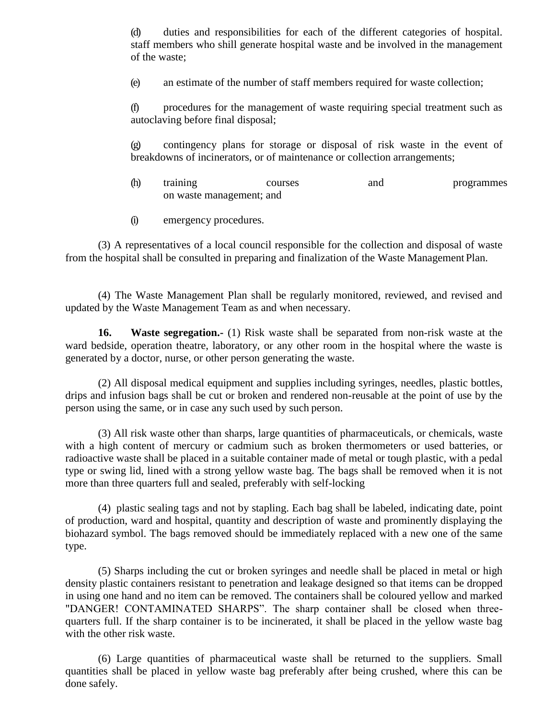(d) duties and responsibilities for each of the different categories of hospital. staff members who shill generate hospital waste and be involved in the management of the waste;

(e) an estimate of the number of staff members required for waste collection;

(f) procedures for the management of waste requiring special treatment such as autoclaving before final disposal;

(g) contingency plans for storage or disposal of risk waste in the event of breakdowns of incinerators, or of maintenance or collection arrangements;

- (h) training courses and programmes on waste management; and
- (i) emergency procedures.

(3) A representatives of a local council responsible for the collection and disposal of waste from the hospital shall be consulted in preparing and finalization of the Waste Management Plan.

(4) The Waste Management Plan shall be regularly monitored, reviewed, and revised and updated by the Waste Management Team as and when necessary.

**16. Waste segregation.-** (1) Risk waste shall be separated from non-risk waste at the ward bedside, operation theatre, laboratory, or any other room in the hospital where the waste is generated by a doctor, nurse, or other person generating the waste.

(2) All disposal medical equipment and supplies including syringes, needles, plastic bottles, drips and infusion bags shall be cut or broken and rendered non-reusable at the point of use by the person using the same, or in case any such used by such person.

(3) All risk waste other than sharps, large quantities of pharmaceuticals, or chemicals, waste with a high content of mercury or cadmium such as broken thermometers or used batteries, or radioactive waste shall be placed in a suitable container made of metal or tough plastic, with a pedal type or swing lid, lined with a strong yellow waste bag. The bags shall be removed when it is not more than three quarters full and sealed, preferably with self-locking

(4) plastic sealing tags and not by stapling. Each bag shall be labeled, indicating date, point of production, ward and hospital, quantity and description of waste and prominently displaying the biohazard symbol. The bags removed should be immediately replaced with a new one of the same type.

(5) Sharps including the cut or broken syringes and needle shall be placed in metal or high density plastic containers resistant to penetration and leakage designed so that items can be dropped in using one hand and no item can be removed. The containers shall be coloured yellow and marked "DANGER! CONTAMINATED SHARPS". The sharp container shall be closed when threequarters full. If the sharp container is to be incinerated, it shall be placed in the yellow waste bag with the other risk waste.

(6) Large quantities of pharmaceutical waste shall be returned to the suppliers. Small quantities shall be placed in yellow waste bag preferably after being crushed, where this can be done safely.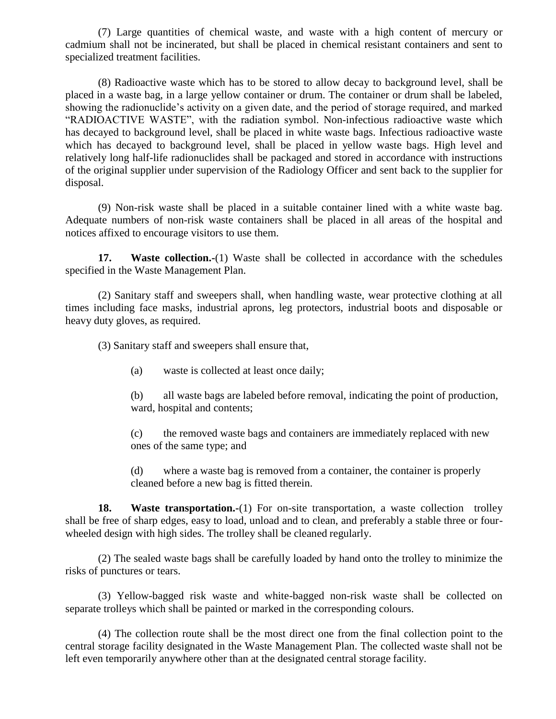(7) Large quantities of chemical waste, and waste with a high content of mercury or cadmium shall not be incinerated, but shall be placed in chemical resistant containers and sent to specialized treatment facilities.

(8) Radioactive waste which has to be stored to allow decay to background level, shall be placed in a waste bag, in a large yellow container or drum. The container or drum shall be labeled, showing the radionuclide's activity on a given date, and the period of storage required, and marked "RADIOACTIVE WASTE", with the radiation symbol. Non-infectious radioactive waste which has decayed to background level, shall be placed in white waste bags. Infectious radioactive waste which has decayed to background level, shall be placed in yellow waste bags. High level and relatively long half-life radionuclides shall be packaged and stored in accordance with instructions of the original supplier under supervision of the Radiology Officer and sent back to the supplier for disposal.

(9) Non-risk waste shall be placed in a suitable container lined with a white waste bag. Adequate numbers of non-risk waste containers shall be placed in all areas of the hospital and notices affixed to encourage visitors to use them.

**17. Waste collection.-**(1) Waste shall be collected in accordance with the schedules specified in the Waste Management Plan.

(2) Sanitary staff and sweepers shall, when handling waste, wear protective clothing at all times including face masks, industrial aprons, leg protectors, industrial boots and disposable or heavy duty gloves, as required.

(3) Sanitary staff and sweepers shall ensure that,

(a) waste is collected at least once daily;

(b) all waste bags are labeled before removal, indicating the point of production, ward, hospital and contents;

(c) the removed waste bags and containers are immediately replaced with new ones of the same type; and

(d) where a waste bag is removed from a container, the container is properly cleaned before a new bag is fitted therein.

**18. Waste transportation.-**(1) For on-site transportation, a waste collection trolley shall be free of sharp edges, easy to load, unload and to clean, and preferably a stable three or fourwheeled design with high sides. The trolley shall be cleaned regularly.

(2) The sealed waste bags shall be carefully loaded by hand onto the trolley to minimize the risks of punctures or tears.

(3) Yellow-bagged risk waste and white-bagged non-risk waste shall be collected on separate trolleys which shall be painted or marked in the corresponding colours.

(4) The collection route shall be the most direct one from the final collection point to the central storage facility designated in the Waste Management Plan. The collected waste shall not be left even temporarily anywhere other than at the designated central storage facility.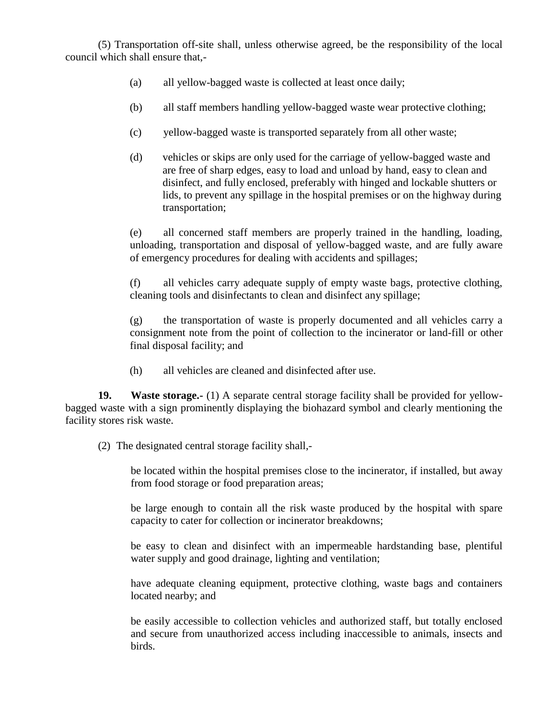(5) Transportation off-site shall, unless otherwise agreed, be the responsibility of the local council which shall ensure that,-

- (a) all yellow-bagged waste is collected at least once daily;
- (b) all staff members handling yellow-bagged waste wear protective clothing;
- (c) yellow-bagged waste is transported separately from all other waste;
- (d) vehicles or skips are only used for the carriage of yellow-bagged waste and are free of sharp edges, easy to load and unload by hand, easy to clean and disinfect, and fully enclosed, preferably with hinged and lockable shutters or lids, to prevent any spillage in the hospital premises or on the highway during transportation;

(e) all concerned staff members are properly trained in the handling, loading, unloading, transportation and disposal of yellow-bagged waste, and are fully aware of emergency procedures for dealing with accidents and spillages;

(f) all vehicles carry adequate supply of empty waste bags, protective clothing, cleaning tools and disinfectants to clean and disinfect any spillage;

(g) the transportation of waste is properly documented and all vehicles carry a consignment note from the point of collection to the incinerator or land-fill or other final disposal facility; and

(h) all vehicles are cleaned and disinfected after use.

**19. Waste storage.-** (1) A separate central storage facility shall be provided for yellowbagged waste with a sign prominently displaying the biohazard symbol and clearly mentioning the facility stores risk waste.

(2) The designated central storage facility shall,-

be located within the hospital premises close to the incinerator, if installed, but away from food storage or food preparation areas;

be large enough to contain all the risk waste produced by the hospital with spare capacity to cater for collection or incinerator breakdowns;

be easy to clean and disinfect with an impermeable hardstanding base, plentiful water supply and good drainage, lighting and ventilation;

have adequate cleaning equipment, protective clothing, waste bags and containers located nearby; and

be easily accessible to collection vehicles and authorized staff, but totally enclosed and secure from unauthorized access including inaccessible to animals, insects and birds.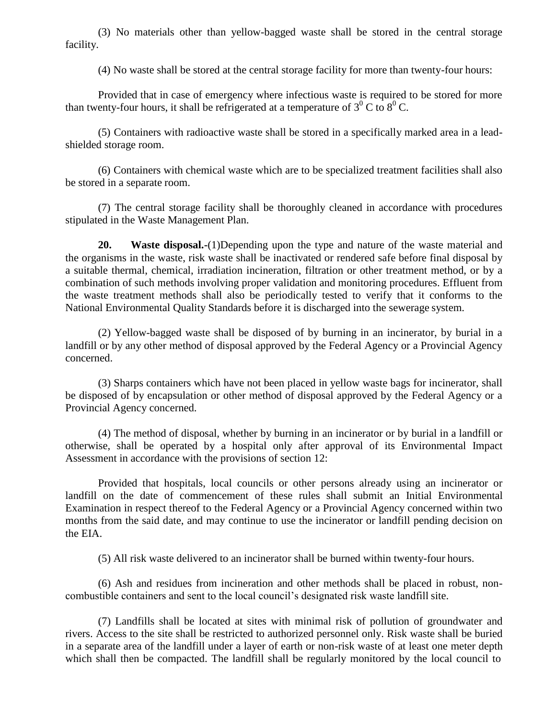(3) No materials other than yellow-bagged waste shall be stored in the central storage facility.

(4) No waste shall be stored at the central storage facility for more than twenty-four hours:

Provided that in case of emergency where infectious waste is required to be stored for more than twenty-four hours, it shall be refrigerated at a temperature of  $3^{0}$  C to  $8^{0}$  C.

(5) Containers with radioactive waste shall be stored in a specifically marked area in a leadshielded storage room.

(6) Containers with chemical waste which are to be specialized treatment facilities shall also be stored in a separate room.

(7) The central storage facility shall be thoroughly cleaned in accordance with procedures stipulated in the Waste Management Plan.

**20. Waste disposal.-**(1)Depending upon the type and nature of the waste material and the organisms in the waste, risk waste shall be inactivated or rendered safe before final disposal by a suitable thermal, chemical, irradiation incineration, filtration or other treatment method, or by a combination of such methods involving proper validation and monitoring procedures. Effluent from the waste treatment methods shall also be periodically tested to verify that it conforms to the National Environmental Quality Standards before it is discharged into the sewerage system.

(2) Yellow-bagged waste shall be disposed of by burning in an incinerator, by burial in a landfill or by any other method of disposal approved by the Federal Agency or a Provincial Agency concerned.

(3) Sharps containers which have not been placed in yellow waste bags for incinerator, shall be disposed of by encapsulation or other method of disposal approved by the Federal Agency or a Provincial Agency concerned.

(4) The method of disposal, whether by burning in an incinerator or by burial in a landfill or otherwise, shall be operated by a hospital only after approval of its Environmental Impact Assessment in accordance with the provisions of section 12:

Provided that hospitals, local councils or other persons already using an incinerator or landfill on the date of commencement of these rules shall submit an Initial Environmental Examination in respect thereof to the Federal Agency or a Provincial Agency concerned within two months from the said date, and may continue to use the incinerator or landfill pending decision on the EIA.

(5) All risk waste delivered to an incinerator shall be burned within twenty-four hours.

(6) Ash and residues from incineration and other methods shall be placed in robust, noncombustible containers and sent to the local council's designated risk waste landfill site.

(7) Landfills shall be located at sites with minimal risk of pollution of groundwater and rivers. Access to the site shall be restricted to authorized personnel only. Risk waste shall be buried in a separate area of the landfill under a layer of earth or non-risk waste of at least one meter depth which shall then be compacted. The landfill shall be regularly monitored by the local council to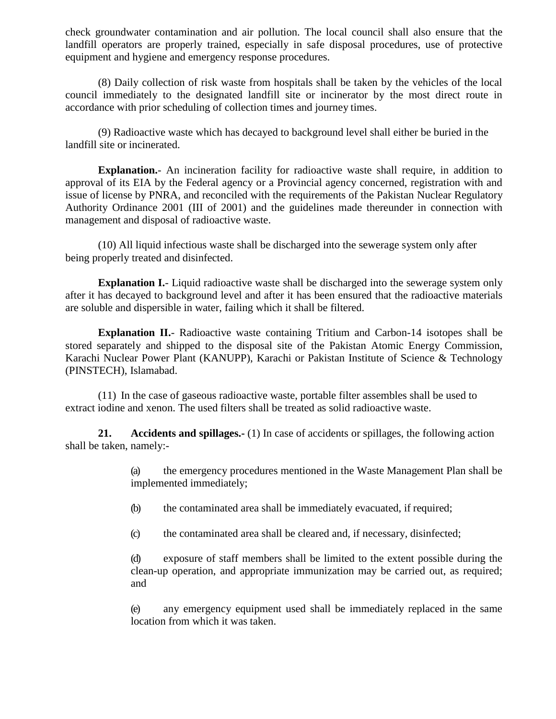check groundwater contamination and air pollution. The local council shall also ensure that the landfill operators are properly trained, especially in safe disposal procedures, use of protective equipment and hygiene and emergency response procedures.

(8) Daily collection of risk waste from hospitals shall be taken by the vehicles of the local council immediately to the designated landfill site or incinerator by the most direct route in accordance with prior scheduling of collection times and journey times.

(9) Radioactive waste which has decayed to background level shall either be buried in the landfill site or incinerated.

**Explanation.**- An incineration facility for radioactive waste shall require, in addition to approval of its EIA by the Federal agency or a Provincial agency concerned, registration with and issue of license by PNRA, and reconciled with the requirements of the Pakistan Nuclear Regulatory Authority Ordinance 2001 (III of 2001) and the guidelines made thereunder in connection with management and disposal of radioactive waste.

(10) All liquid infectious waste shall be discharged into the sewerage system only after being properly treated and disinfected.

**Explanation I.**- Liquid radioactive waste shall be discharged into the sewerage system only after it has decayed to background level and after it has been ensured that the radioactive materials are soluble and dispersible in water, failing which it shall be filtered.

**Explanation II.**- Radioactive waste containing Tritium and Carbon-14 isotopes shall be stored separately and shipped to the disposal site of the Pakistan Atomic Energy Commission, Karachi Nuclear Power Plant (KANUPP), Karachi or Pakistan Institute of Science & Technology (PINSTECH), Islamabad.

(11) In the case of gaseous radioactive waste, portable filter assembles shall be used to extract iodine and xenon. The used filters shall be treated as solid radioactive waste.

**21. Accidents and spillages.-** (1) In case of accidents or spillages, the following action shall be taken, namely:-

> (a) the emergency procedures mentioned in the Waste Management Plan shall be implemented immediately;

(b) the contaminated area shall be immediately evacuated, if required;

(c) the contaminated area shall be cleared and, if necessary, disinfected;

(d) exposure of staff members shall be limited to the extent possible during the clean-up operation, and appropriate immunization may be carried out, as required; and

(e) any emergency equipment used shall be immediately replaced in the same location from which it was taken.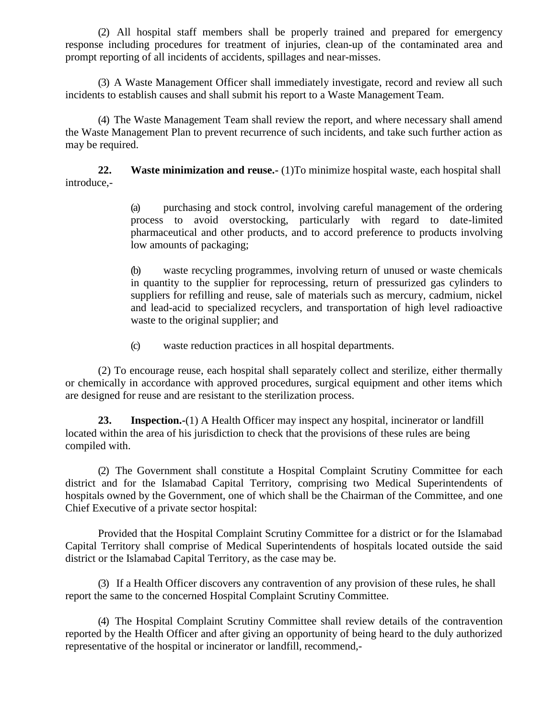(2) All hospital staff members shall be properly trained and prepared for emergency response including procedures for treatment of injuries, clean-up of the contaminated area and prompt reporting of all incidents of accidents, spillages and near-misses.

(3) A Waste Management Officer shall immediately investigate, record and review all such incidents to establish causes and shall submit his report to a Waste Management Team.

(4) The Waste Management Team shall review the report, and where necessary shall amend the Waste Management Plan to prevent recurrence of such incidents, and take such further action as may be required.

**22. Waste minimization and reuse.**- (1) To minimize hospital waste, each hospital shall introduce,-

> (a) purchasing and stock control, involving careful management of the ordering process to avoid overstocking, particularly with regard to date-limited pharmaceutical and other products, and to accord preference to products involving low amounts of packaging;

> (b) waste recycling programmes, involving return of unused or waste chemicals in quantity to the supplier for reprocessing, return of pressurized gas cylinders to suppliers for refilling and reuse, sale of materials such as mercury, cadmium, nickel and lead-acid to specialized recyclers, and transportation of high level radioactive waste to the original supplier; and

(c) waste reduction practices in all hospital departments.

(2) To encourage reuse, each hospital shall separately collect and sterilize, either thermally or chemically in accordance with approved procedures, surgical equipment and other items which are designed for reuse and are resistant to the sterilization process.

**23. Inspection.-**(1) A Health Officer may inspect any hospital, incinerator or landfill located within the area of his jurisdiction to check that the provisions of these rules are being compiled with.

(2) The Government shall constitute a Hospital Complaint Scrutiny Committee for each district and for the Islamabad Capital Territory, comprising two Medical Superintendents of hospitals owned by the Government, one of which shall be the Chairman of the Committee, and one Chief Executive of a private sector hospital:

Provided that the Hospital Complaint Scrutiny Committee for a district or for the Islamabad Capital Territory shall comprise of Medical Superintendents of hospitals located outside the said district or the Islamabad Capital Territory, as the case may be.

(3) If a Health Officer discovers any contravention of any provision of these rules, he shall report the same to the concerned Hospital Complaint Scrutiny Committee.

(4) The Hospital Complaint Scrutiny Committee shall review details of the contravention reported by the Health Officer and after giving an opportunity of being heard to the duly authorized representative of the hospital or incinerator or landfill, recommend,-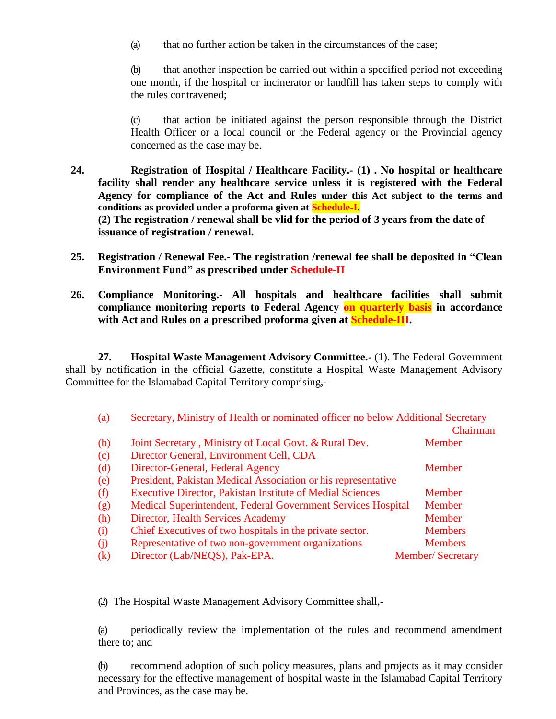(a) that no further action be taken in the circumstances of the case;

(b) that another inspection be carried out within a specified period not exceeding one month, if the hospital or incinerator or landfill has taken steps to comply with the rules contravened;

(c) that action be initiated against the person responsible through the District Health Officer or a local council or the Federal agency or the Provincial agency concerned as the case may be.

- **24. Registration of Hospital / Healthcare Facility.- (1) . No hospital or healthcare facility shall render any healthcare service unless it is registered with the Federal Agency for compliance of the Act and Rules under this Act subject to the terms and conditions as provided under a proforma given at Schedule-I. (2) The registration / renewal shall be vlid for the period of 3 years from the date of issuance of registration / renewal.**
- **25. Registration / Renewal Fee.- The registration /renewal fee shall be deposited in "Clean Environment Fund" as prescribed under Schedule-II**
- **26. Compliance Monitoring.- All hospitals and healthcare facilities shall submit compliance monitoring reports to Federal Agency on quarterly basis in accordance with Act and Rules on a prescribed proforma given at Schedule-III.**

**27. Hospital Waste Management Advisory Committee.-** (1). The Federal Government shall by notification in the official Gazette, constitute a Hospital Waste Management Advisory Committee for the Islamabad Capital Territory comprising,-

| (a)          |                                                                  | Secretary, Ministry of Health or nominated officer no below Additional Secretary<br>Chairman |  |  |
|--------------|------------------------------------------------------------------|----------------------------------------------------------------------------------------------|--|--|
| (b)          | Joint Secretary, Ministry of Local Govt. & Rural Dev.            | Member                                                                                       |  |  |
| (c)          | Director General, Environment Cell, CDA                          |                                                                                              |  |  |
| (d)          | Director-General, Federal Agency                                 | Member                                                                                       |  |  |
| (e)          | President, Pakistan Medical Association or his representative    |                                                                                              |  |  |
| (f)          | <b>Executive Director, Pakistan Institute of Medial Sciences</b> | Member                                                                                       |  |  |
| (g)          | Medical Superintendent, Federal Government Services Hospital     | Member                                                                                       |  |  |
| (h)          | Director, Health Services Academy                                | Member                                                                                       |  |  |
| (i)          | Chief Executives of two hospitals in the private sector.         | <b>Members</b>                                                                               |  |  |
| (i)          | Representative of two non-government organizations               | <b>Members</b>                                                                               |  |  |
| $\mathbf{k}$ | Director (Lab/NEQS), Pak-EPA.                                    | <b>Member/Secretary</b>                                                                      |  |  |

(2) The Hospital Waste Management Advisory Committee shall,-

(a) periodically review the implementation of the rules and recommend amendment there to; and

(b) recommend adoption of such policy measures, plans and projects as it may consider necessary for the effective management of hospital waste in the Islamabad Capital Territory and Provinces, as the case may be.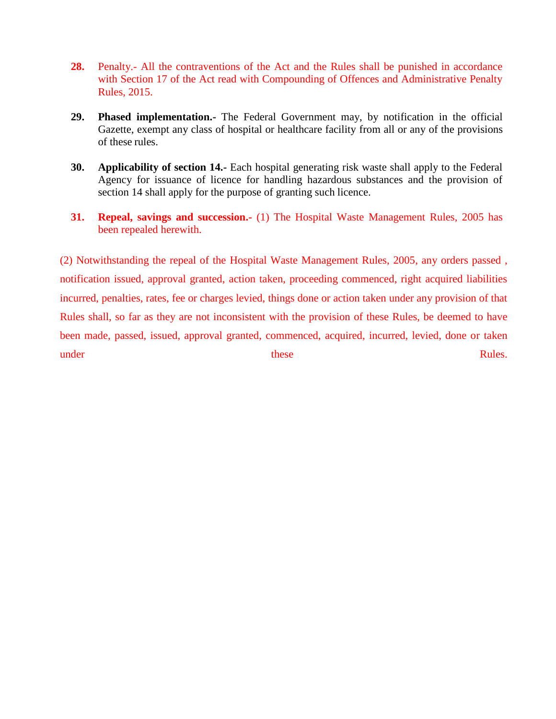- **28.** Penalty.- All the contraventions of the Act and the Rules shall be punished in accordance with Section 17 of the Act read with Compounding of Offences and Administrative Penalty Rules, 2015.
- **29. Phased implementation.-** The Federal Government may, by notification in the official Gazette, exempt any class of hospital or healthcare facility from all or any of the provisions of these rules.
- **30. Applicability of section 14.-** Each hospital generating risk waste shall apply to the Federal Agency for issuance of licence for handling hazardous substances and the provision of section 14 shall apply for the purpose of granting such licence.
- **31. Repeal, savings and succession.-** (1) The Hospital Waste Management Rules, 2005 has been repealed herewith.

(2) Notwithstanding the repeal of the Hospital Waste Management Rules, 2005, any orders passed , notification issued, approval granted, action taken, proceeding commenced, right acquired liabilities incurred, penalties, rates, fee or charges levied, things done or action taken under any provision of that Rules shall, so far as they are not inconsistent with the provision of these Rules, be deemed to have been made, passed, issued, approval granted, commenced, acquired, incurred, levied, done or taken under **these** Rules.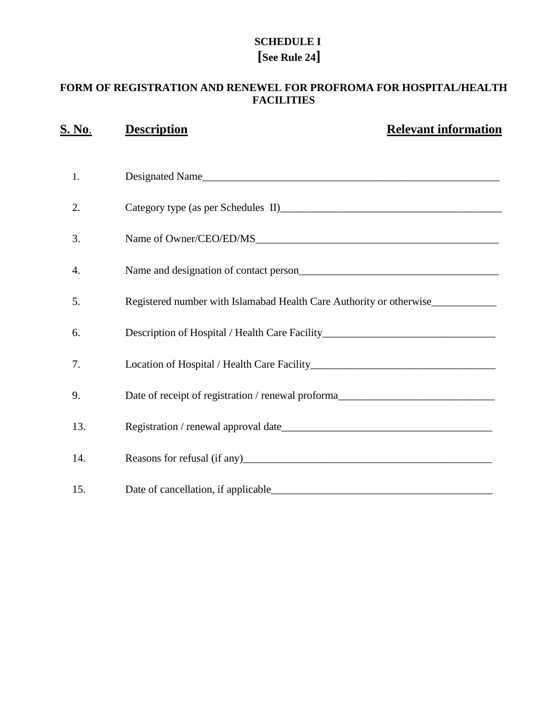## **SCHEDULE I [See Rule 24]**

### **FORM OF REGISTRATION AND RENEWEL FOR PROFROMA FOR HOSPITAL/HEALTH FACILITIES**

| <u>S. No.</u> | <b>Description</b>                                                                    | <b>Relevant information</b> |
|---------------|---------------------------------------------------------------------------------------|-----------------------------|
| 1.            | Designated Name                                                                       |                             |
| 2.            |                                                                                       |                             |
| 3.            |                                                                                       |                             |
| 4.            | Name and designation of contact person<br><u>Letter and the set of contact person</u> |                             |
| 5.            | Registered number with Islamabad Health Care Authority or otherwise_____________      |                             |
| 6.            | Description of Hospital / Health Care Facility__________________________________      |                             |
| 7.            |                                                                                       |                             |
| 9.            | Date of receipt of registration / renewal proforma______________________________      |                             |
| 13.           |                                                                                       |                             |
| 14.           |                                                                                       |                             |
| 15.           | Date of cancellation, if applicable                                                   |                             |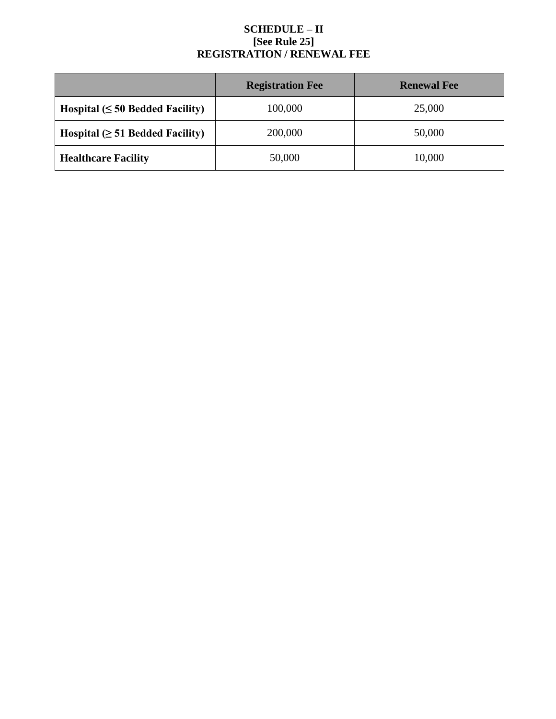### **SCHEDULE – II [See Rule 25] REGISTRATION / RENEWAL FEE**

|                                       | <b>Registration Fee</b> | <b>Renewal Fee</b> |
|---------------------------------------|-------------------------|--------------------|
| Hospital $(\leq 50$ Bedded Facility)  | 100,000                 | 25,000             |
| Hospital $( \geq 51$ Bedded Facility) | 200,000                 | 50,000             |
| <b>Healthcare Facility</b>            | 50,000                  | 10,000             |